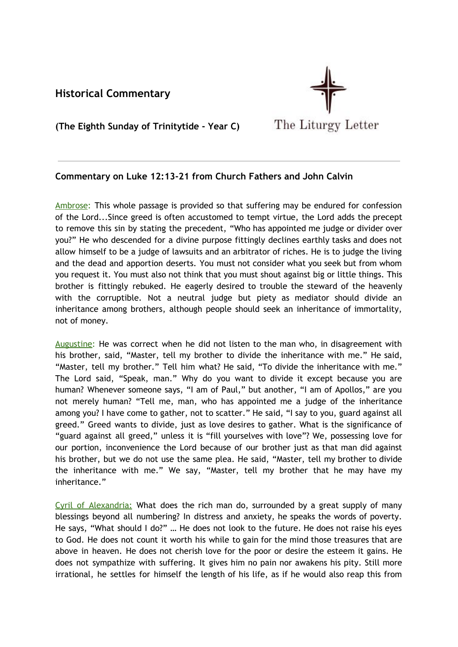**Historical Commentary**



**(The Eighth Sunday of Trinitytide - Year C)**

## **Commentary on Luke 12:13-21 from Church Fathers and John Calvin**

[Ambrose](https://en.wikipedia.org/wiki/Ambrose): This whole passage is provided so that suffering may be endured for confession of the Lord...Since greed is often accustomed to tempt virtue, the Lord adds the precept to remove this sin by stating the precedent, "Who has appointed me judge or divider over you?" He who descended for a divine purpose fittingly declines earthly tasks and does not allow himself to be a judge of lawsuits and an arbitrator of riches. He is to judge the living and the dead and apportion deserts. You must not consider what you seek but from whom you request it. You must also not think that you must shout against big or little things. This brother is fittingly rebuked. He eagerly desired to trouble the steward of the heavenly with the corruptible. Not a neutral judge but piety as mediator should divide an inheritance among brothers, although people should seek an inheritance of immortality, not of money.

[Augustine](http://justus.anglican.org/resources/bio/50.html): He was correct when he did not listen to the man who, in disagreement with his brother, said, "Master, tell my brother to divide the inheritance with me." He said, "Master, tell my brother." Tell him what? He said, "To divide the inheritance with me." The Lord said, "Speak, man." Why do you want to divide it except because you are human? Whenever someone says, "I am of Paul," but another, "I am of Apollos," are you not merely human? "Tell me, man, who has appointed me a judge of the inheritance among you? I have come to gather, not to scatter." He said, "I say to you, guard against all greed." Greed wants to divide, just as love desires to gather. What is the significance of "guard against all greed," unless it is "fill yourselves with love"? We, possessing love for our portion, inconvenience the Lord because of our brother just as that man did against his brother, but we do not use the same plea. He said, "Master, tell my brother to divide the inheritance with me." We say, "Master, tell my brother that he may have my inheritance."

Cyril of [Alexandria:](http://justus.anglican.org/resources/bio/193.html) What does the rich man do, surrounded by a great supply of many blessings beyond all numbering? In distress and anxiety, he speaks the words of poverty. He says, "What should I do?" … He does not look to the future. He does not raise his eyes to God. He does not count it worth his while to gain for the mind those treasures that are above in heaven. He does not cherish love for the poor or desire the esteem it gains. He does not sympathize with suffering. It gives him no pain nor awakens his pity. Still more irrational, he settles for himself the length of his life, as if he would also reap this from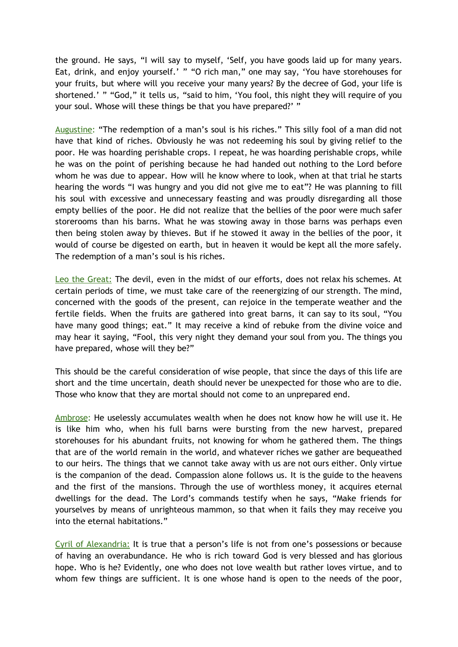the ground. He says, "I will say to myself, 'Self, you have goods laid up for many years. Eat, drink, and enjoy yourself.' " "O rich man," one may say, 'You have storehouses for your fruits, but where will you receive your many years? By the decree of God, your life is shortened.' " "God," it tells us, "said to him, 'You fool, this night they will require of you your soul. Whose will these things be that you have prepared?' "

[Augustine](http://justus.anglican.org/resources/bio/50.html): "The redemption of a man's soul is his riches." This silly fool of a man did not have that kind of riches. Obviously he was not redeeming his soul by giving relief to the poor. He was hoarding perishable crops. I repeat, he was hoarding perishable crops, while he was on the point of perishing because he had handed out nothing to the Lord before whom he was due to appear. How will he know where to look, when at that trial he starts hearing the words "I was hungry and you did not give me to eat"? He was planning to fill his soul with excessive and unnecessary feasting and was proudly disregarding all those empty bellies of the poor. He did not realize that the bellies of the poor were much safer storerooms than his barns. What he was stowing away in those barns was perhaps even then being stolen away by thieves. But if he stowed it away in the bellies of the poor, it would of course be digested on earth, but in heaven it would be kept all the more safely. The redemption of a man's soul is his riches.

Leo the [Great:](https://orthodoxwiki.org/Leo_the_Great) The devil, even in the midst of our efforts, does not relax his schemes. At certain periods of time, we must take care of the reenergizing of our strength. The mind, concerned with the goods of the present, can rejoice in the temperate weather and the fertile fields. When the fruits are gathered into great barns, it can say to its soul, "You have many good things; eat." It may receive a kind of rebuke from the divine voice and may hear it saying, "Fool, this very night they demand your soul from you. The things you have prepared, whose will they be?"

This should be the careful consideration of wise people, that since the days of this life are short and the time uncertain, death should never be unexpected for those who are to die. Those who know that they are mortal should not come to an unprepared end.

[Ambrose](https://en.wikipedia.org/wiki/Ambrose): He uselessly accumulates wealth when he does not know how he will use it. He is like him who, when his full barns were bursting from the new harvest, prepared storehouses for his abundant fruits, not knowing for whom he gathered them. The things that are of the world remain in the world, and whatever riches we gather are bequeathed to our heirs. The things that we cannot take away with us are not ours either. Only virtue is the companion of the dead. Compassion alone follows us. It is the guide to the heavens and the first of the mansions. Through the use of worthless money, it acquires eternal dwellings for the dead. The Lord's commands testify when he says, "Make friends for yourselves by means of unrighteous mammon, so that when it fails they may receive you into the eternal habitations."

Cyril of [Alexandria:](http://justus.anglican.org/resources/bio/193.html) It is true that a person's life is not from one's possessions or because of having an overabundance. He who is rich toward God is very blessed and has glorious hope. Who is he? Evidently, one who does not love wealth but rather loves virtue, and to whom few things are sufficient. It is one whose hand is open to the needs of the poor,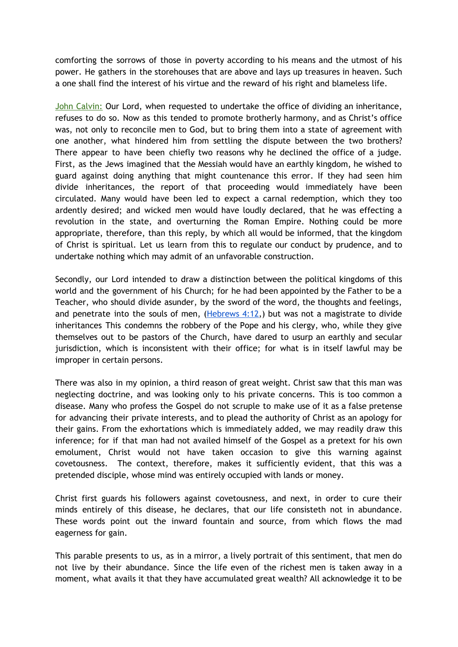comforting the sorrows of those in poverty according to his means and the utmost of his power. He gathers in the storehouses that are above and lays up treasures in heaven. Such a one shall find the interest of his virtue and the reward of his right and blameless life.

John [Calvin:](https://www.calvin.edu/about/history/john-calvin.html) Our Lord, when requested to undertake the office of dividing an inheritance, refuses to do so. Now as this tended to promote brotherly harmony, and as Christ's office was, not only to reconcile men to God, but to bring them into a state of agreement with one another, what hindered him from settling the dispute between the two brothers? There appear to have been chiefly two reasons why he declined the office of a judge. First, as the Jews imagined that the Messiah would have an earthly kingdom, he wished to guard against doing anything that might countenance this error. If they had seen him divide inheritances, the report of that proceeding would immediately have been circulated. Many would have been led to expect a carnal redemption, which they too ardently desired; and wicked men would have loudly declared, that he was effecting a revolution in the state, and overturning the Roman Empire. Nothing could be more appropriate, therefore, than this reply, by which all would be informed, that the kingdom of Christ is spiritual. Let us learn from this to regulate our conduct by prudence, and to undertake nothing which may admit of an unfavorable construction.

Secondly, our Lord intended to draw a distinction between the political kingdoms of this world and the government of his Church; for he had been appointed by the Father to be a Teacher, who should divide asunder, by the sword of the word, the thoughts and feelings, and penetrate into the souls of men,  $(Hebrews 4:12)$  $(Hebrews 4:12)$ , but was not a magistrate to divide inheritances This condemns the robbery of the Pope and his clergy, who, while they give themselves out to be pastors of the Church, have dared to usurp an earthly and secular jurisdiction, which is inconsistent with their office; for what is in itself lawful may be improper in certain persons.

There was also in my opinion, a third reason of great weight. Christ saw that this man was neglecting doctrine, and was looking only to his private concerns. This is too common a disease. Many who profess the Gospel do not scruple to make use of it as a false pretense for advancing their private interests, and to plead the authority of Christ as an apology for their gains. From the exhortations which is immediately added, we may readily draw this inference; for if that man had not availed himself of the Gospel as a pretext for his own emolument, Christ would not have taken occasion to give this warning against covetousness. The context, therefore, makes it sufficiently evident, that this was a pretended disciple, whose mind was entirely occupied with lands or money.

Christ first guards his followers against covetousness, and next, in order to cure their minds entirely of this disease, he declares, that our life consisteth not in abundance. These words point out the inward fountain and source, from which flows the mad eagerness for gain.

This parable presents to us, as in a mirror, a lively portrait of this sentiment, that men do not live by their abundance. Since the life even of the richest men is taken away in a moment, what avails it that they have accumulated great wealth? All acknowledge it to be